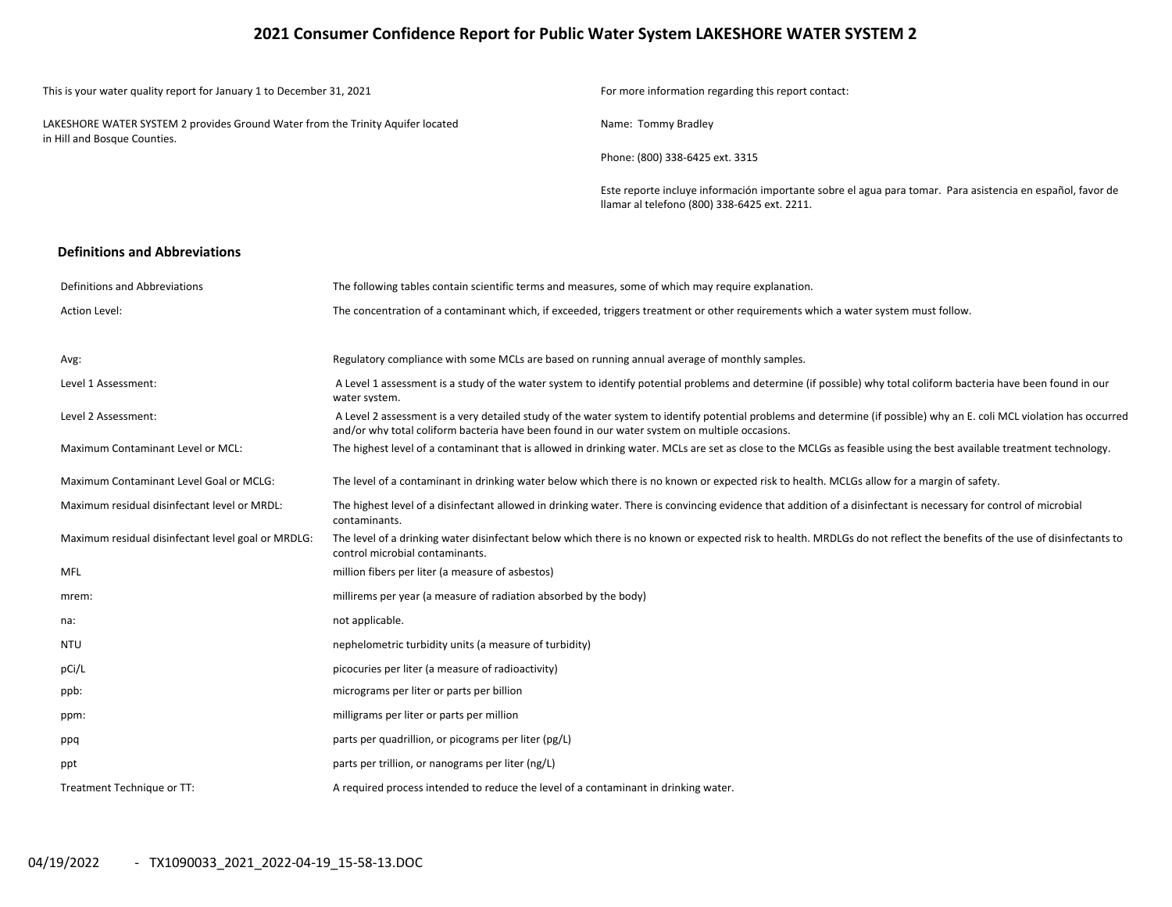## **2021 Consumer Confidence Report for Public Water System LAKESHORE WATER SYSTEM 2**

| This is your water quality report for January 1 to December 31, 2021                                            | For more information regarding this report contact:                                                                                                        |
|-----------------------------------------------------------------------------------------------------------------|------------------------------------------------------------------------------------------------------------------------------------------------------------|
| LAKESHORE WATER SYSTEM 2 provides Ground Water from the Trinity Aquifer located<br>in Hill and Bosque Counties. | Name: Tommy Bradley                                                                                                                                        |
|                                                                                                                 | Phone: (800) 338-6425 ext. 3315                                                                                                                            |
|                                                                                                                 | Este reporte incluye información importante sobre el agua para tomar. Para asistencia en español, favor de<br>Ilamar al telefono (800) 338-6425 ext. 2211. |

#### **Definitions and Abbreviations**

| Definitions and Abbreviations                      | The following tables contain scientific terms and measures, some of which may require explanation.                                                                                                                                                                      |
|----------------------------------------------------|-------------------------------------------------------------------------------------------------------------------------------------------------------------------------------------------------------------------------------------------------------------------------|
| Action Level:                                      | The concentration of a contaminant which, if exceeded, triggers treatment or other requirements which a water system must follow.                                                                                                                                       |
|                                                    |                                                                                                                                                                                                                                                                         |
| Avg:                                               | Regulatory compliance with some MCLs are based on running annual average of monthly samples.                                                                                                                                                                            |
| Level 1 Assessment:                                | A Level 1 assessment is a study of the water system to identify potential problems and determine (if possible) why total coliform bacteria have been found in our<br>water system.                                                                                      |
| Level 2 Assessment:                                | A Level 2 assessment is a very detailed study of the water system to identify potential problems and determine (if possible) why an E. coli MCL violation has occurred<br>and/or why total coliform bacteria have been found in our water system on multiple occasions. |
| <b>Maximum Contaminant Level or MCL:</b>           | The highest level of a contaminant that is allowed in drinking water. MCLs are set as close to the MCLGs as feasible using the best available treatment technology.                                                                                                     |
| Maximum Contaminant Level Goal or MCLG:            | The level of a contaminant in drinking water below which there is no known or expected risk to health. MCLGs allow for a margin of safety.                                                                                                                              |
| Maximum residual disinfectant level or MRDL:       | The highest level of a disinfectant allowed in drinking water. There is convincing evidence that addition of a disinfectant is necessary for control of microbial<br>contaminants.                                                                                      |
| Maximum residual disinfectant level goal or MRDLG: | The level of a drinking water disinfectant below which there is no known or expected risk to health. MRDLGs do not reflect the benefits of the use of disinfectants to<br>control microbial contaminants.                                                               |
| <b>MFL</b>                                         | million fibers per liter (a measure of asbestos)                                                                                                                                                                                                                        |
| mrem:                                              | millirems per year (a measure of radiation absorbed by the body)                                                                                                                                                                                                        |
| na:                                                | not applicable.                                                                                                                                                                                                                                                         |
| <b>NTU</b>                                         | nephelometric turbidity units (a measure of turbidity)                                                                                                                                                                                                                  |
| pCi/L                                              | picocuries per liter (a measure of radioactivity)                                                                                                                                                                                                                       |
| ppb:                                               | micrograms per liter or parts per billion                                                                                                                                                                                                                               |
| ppm:                                               | milligrams per liter or parts per million                                                                                                                                                                                                                               |
| ppq                                                | parts per quadrillion, or picograms per liter (pg/L)                                                                                                                                                                                                                    |
| ppt                                                | parts per trillion, or nanograms per liter (ng/L)                                                                                                                                                                                                                       |
| Treatment Technique or TT:                         | A required process intended to reduce the level of a contaminant in drinking water.                                                                                                                                                                                     |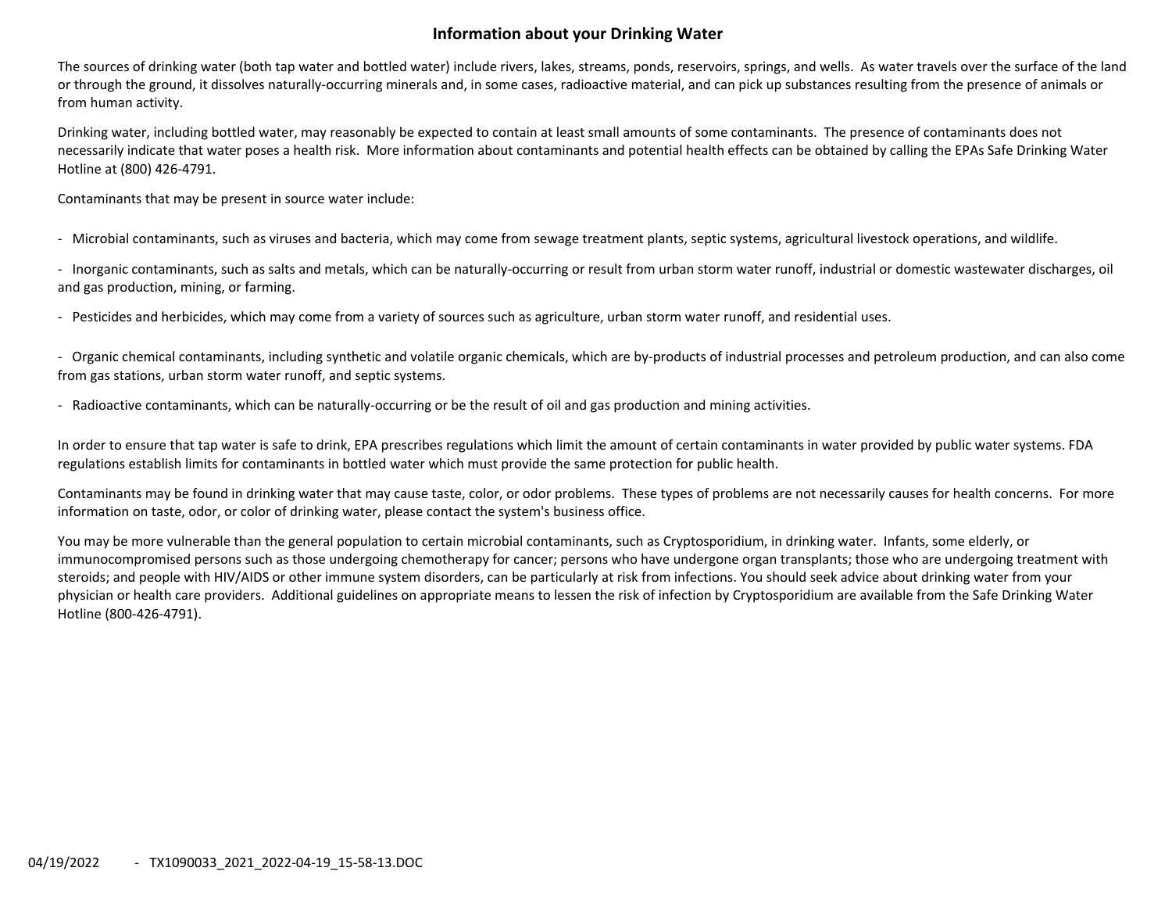# **Information about your Drinking Water**

The sources of drinking water (both tap water and bottled water) include rivers, lakes, streams, ponds, reservoirs, springs, and wells. As water travels over the surface of the land or through the ground, it dissolves naturally‐occurring minerals and, in some cases, radioactive material, and can pick up substances resulting from the presence of animals or from human activity.

Drinking water, including bottled water, may reasonably be expected to contain at least small amounts of some contaminants. The presence of contaminants does not necessarily indicate that water poses <sup>a</sup> health risk. More information about contaminants and potential health effects can be obtained by calling the EPAs Safe Drinking Water Hotline at (800) 426‐4791.

Contaminants that may be present in source water include:

‐ Microbial contaminants, such as viruses and bacteria, which may come from sewage treatment plants, septic systems, agricultural livestock operations, and wildlife.

‐ Inorganic contaminants, such as salts and metals, which can be naturally‐occurring or result from urban storm water runoff, industrial or domestic wastewater discharges, oil and gas production, mining, or farming.

‐ Pesticides and herbicides, which may come from <sup>a</sup> variety of sources such as agriculture, urban storm water runoff, and residential uses.

‐ Organic chemical contaminants, including synthetic and volatile organic chemicals, which are by‐products of industrial processes and petroleum production, and can also come from gas stations, urban storm water runoff, and septic systems.

‐ Radioactive contaminants, which can be naturally‐occurring or be the result of oil and gas production and mining activities.

In order to ensure that tap water is safe to drink, EPA prescribes regulations which limit the amount of certain contaminants in water provided by public water systems. FDA regulations establish limits for contaminants in bottled water which must provide the same protection for public health.

Contaminants may be found in drinking water that may cause taste, color, or odor problems. These types of problems are not necessarily causes for health concerns. For more information on taste, odor, or color of drinking water, please contact the system's business office.

You may be more vulnerable than the general population to certain microbial contaminants, such as Cryptosporidium, in drinking water. Infants, some elderly, or immunocompromised persons such as those undergoing chemotherapy for cancer; persons who have undergone organ transplants; those who are undergoing treatment with steroids; and people with HIV/AIDS or other immune system disorders, can be particularly at risk from infections. You should seek advice about drinking water from your physician or health care providers. Additional guidelines on appropriate means to lessen the risk of infection by Cryptosporidium are available from the Safe Drinking Water Hotline (800‐426‐4791).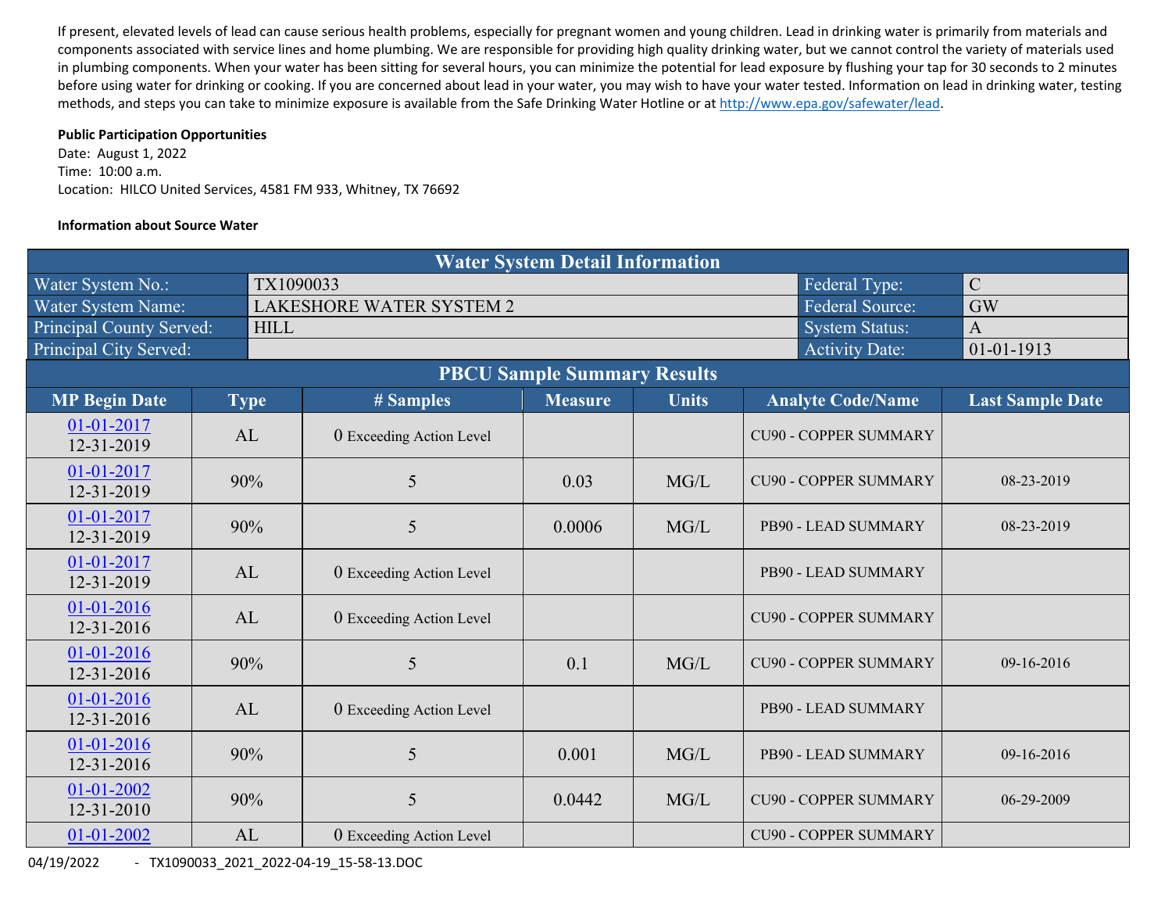If present, elevated levels of lead can cause serious health problems, especially for pregnant women and young children. Lead in drinking water is primarily from materials and components associated with service lines and home plumbing. We are responsible for providing high quality drinking water, but we cannot control the variety of materials used in plumbing components. When your water has been sitting for several hours, you can minimize the potential for lead exposure by flushing your tap for 30 seconds to 2 minutes before using water for drinking or cooking. If you are concerned about lead in your water, you may wish to have your water tested. Information on lead in drinking water, testing methods, and steps you can take to minimize exposure is available from the Safe Drinking Water Hotline or at http://www.epa.gov/safewater/lead.

## **Public Participation Opportunities**

Date: August 1, 2022 Time: 10:00 a.m. Location: HILCO United Services, 4581 FM 933, Whitney, TX 76692

## **Information about Source Water**

| <b>Water System Detail Information</b> |  |             |                                 |                |              |                              |                         |  |  |  |  |  |
|----------------------------------------|--|-------------|---------------------------------|----------------|--------------|------------------------------|-------------------------|--|--|--|--|--|
| Water System No.:                      |  | TX1090033   |                                 |                |              | Federal Type:                | $\mathcal{C}$           |  |  |  |  |  |
| Water System Name:                     |  |             | <b>LAKESHORE WATER SYSTEM 2</b> | <b>GW</b>      |              |                              |                         |  |  |  |  |  |
| <b>Principal County Served:</b>        |  | <b>HILL</b> |                                 |                |              | <b>System Status:</b>        | $\overline{A}$          |  |  |  |  |  |
| Principal City Served:                 |  |             |                                 |                |              | <b>Activity Date:</b>        | $01 - 01 - 1913$        |  |  |  |  |  |
|                                        |  |             |                                 |                |              |                              |                         |  |  |  |  |  |
| <b>MP Begin Date</b>                   |  | <b>Type</b> | # Samples                       | <b>Measure</b> | <b>Units</b> | <b>Analyte Code/Name</b>     | <b>Last Sample Date</b> |  |  |  |  |  |
| 01-01-2017<br>12-31-2019               |  | AL          | 0 Exceeding Action Level        |                |              | <b>CU90 - COPPER SUMMARY</b> |                         |  |  |  |  |  |
| 01-01-2017<br>12-31-2019               |  | 90%         | 5                               | 0.03           | MG/L         | <b>CU90 - COPPER SUMMARY</b> | 08-23-2019              |  |  |  |  |  |
| 01-01-2017<br>12-31-2019               |  | 90%         | 5                               | 0.0006         | MG/L         | PB90 - LEAD SUMMARY          | 08-23-2019              |  |  |  |  |  |
| 01-01-2017<br>12-31-2019               |  | AL          | 0 Exceeding Action Level        |                |              | PB90 - LEAD SUMMARY          |                         |  |  |  |  |  |
| 01-01-2016<br>12-31-2016               |  | AL          | 0 Exceeding Action Level        |                |              | <b>CU90 - COPPER SUMMARY</b> |                         |  |  |  |  |  |
| 01-01-2016<br>$12 - 31 - 2016$         |  | 90%         | 5                               | 0.1            | MG/L         | <b>CU90 - COPPER SUMMARY</b> | 09-16-2016              |  |  |  |  |  |
| 01-01-2016<br>12-31-2016               |  | AL          | 0 Exceeding Action Level        |                |              | PB90 - LEAD SUMMARY          |                         |  |  |  |  |  |
| 01-01-2016<br>$12 - 31 - 2016$         |  | 90%         | 5                               | 0.001          | MG/L         | PB90 - LEAD SUMMARY          | 09-16-2016              |  |  |  |  |  |
| 01-01-2002<br>12-31-2010               |  | 90%         | 5                               | 0.0442         | MG/L         | <b>CU90 - COPPER SUMMARY</b> | 06-29-2009              |  |  |  |  |  |
| 01-01-2002                             |  | AL          | 0 Exceeding Action Level        |                |              | <b>CU90 - COPPER SUMMARY</b> |                         |  |  |  |  |  |

04/19/2022 ‐ TX1090033\_2021\_2022‐04‐19\_15‐58‐13.DOC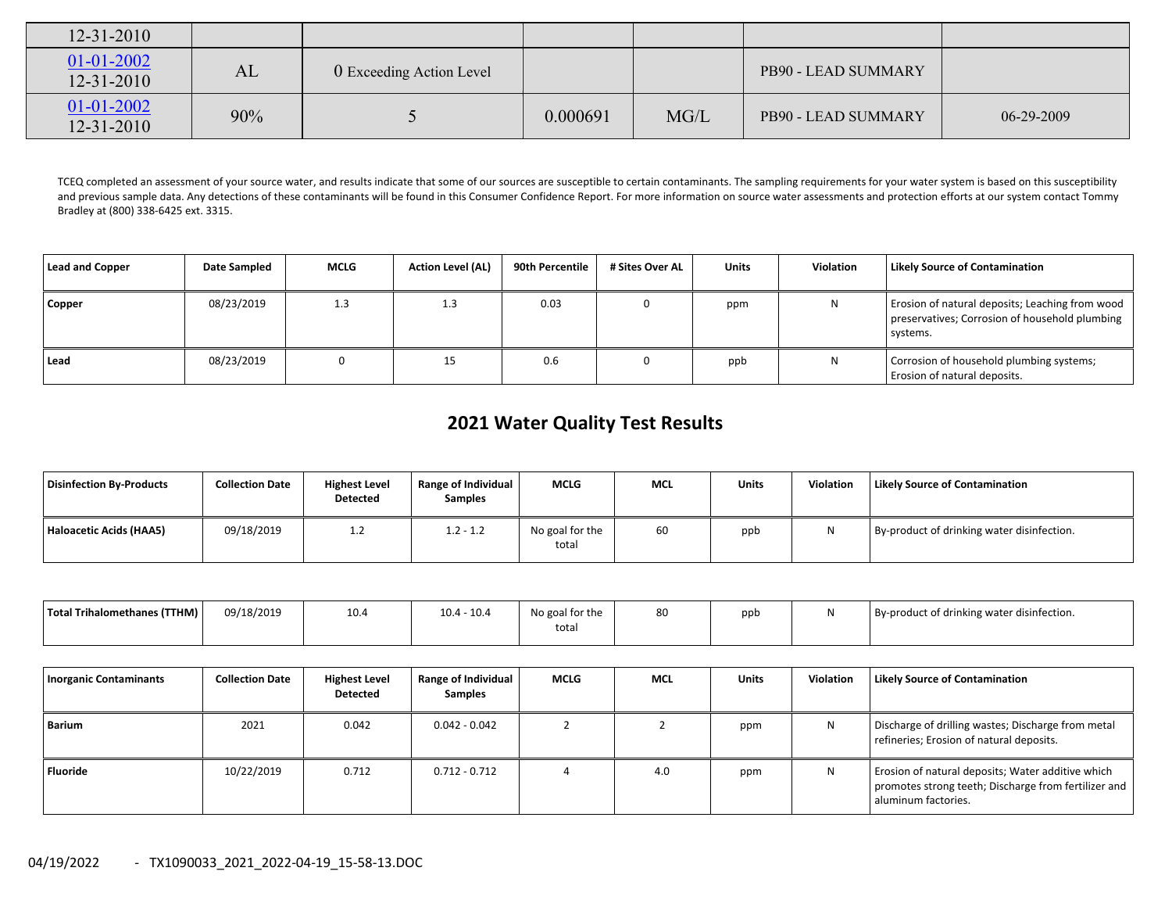| $12 - 31 - 2010$                     |     |                          |          |      |                     |                  |
|--------------------------------------|-----|--------------------------|----------|------|---------------------|------------------|
| $01 - 01 - 2002$<br>$12 - 31 - 2010$ | AL  | 0 Exceeding Action Level |          |      | PB90 - LEAD SUMMARY |                  |
| $01 - 01 - 2002$<br>$12 - 31 - 2010$ | 90% |                          | 0.000691 | MG/L | PB90 - LEAD SUMMARY | $06 - 29 - 2009$ |

TCEQ completed an assessment of your source water, and results indicate that some of our sources are susceptible to certain contaminants. The sampling requirements for your water system is based on this susceptibility and previous sample data. Any detections of these contaminants will be found in this Consumer Confidence Report. For more information on source water assessments and protection efforts at our system contact Tommy Bradley at (800) 338‐6425 ext. 3315.

| Lead and Copper | Date Sampled | <b>MCLG</b> | <b>Action Level (AL)</b> | 90th Percentile | # Sites Over AL | <b>Units</b> | <b>Violation</b> | <b>Likely Source of Contamination</b>                                                                         |
|-----------------|--------------|-------------|--------------------------|-----------------|-----------------|--------------|------------------|---------------------------------------------------------------------------------------------------------------|
| Copper          | 08/23/2019   | 1.3         | 1.3                      | 0.03            |                 | ppm          | N                | Erosion of natural deposits; Leaching from wood<br>preservatives; Corrosion of household plumbing<br>systems. |
| Lead            | 08/23/2019   |             | 15                       | 0.6             |                 | ppb          | N                | Corrosion of household plumbing systems;<br>Erosion of natural deposits.                                      |

# **2021 Water Quality Test Results**

| Disinfection By-Products | <b>Collection Date</b> | <b>Highest Level</b><br>Detected | <b>Range of Individual</b><br><b>Samples</b> | <b>MCLG</b>              | <b>MCL</b> | Units | Violation | <b>Likely Source of Contamination</b>      |
|--------------------------|------------------------|----------------------------------|----------------------------------------------|--------------------------|------------|-------|-----------|--------------------------------------------|
| Haloacetic Acids (HAA5)  | 09/18/2019             | 1.2                              | $1.2 - 1.2$                                  | No goal for the<br>total | 60         | ppb   |           | By-product of drinking water disinfection. |

| Total Trihalomethanes (TTHM) | 09/18/2019 | 10.4 | $10.4 - 10.4$ | No goal for the<br>total | 80 | ppb |  | By-product of drinking water disinfection. |
|------------------------------|------------|------|---------------|--------------------------|----|-----|--|--------------------------------------------|
|------------------------------|------------|------|---------------|--------------------------|----|-----|--|--------------------------------------------|

| <b>Inorganic Contaminants</b> | <b>Collection Date</b> | <b>Highest Level</b><br>Detected | <b>Range of Individual</b><br><b>Samples</b> | <b>MCLG</b> | <b>MCL</b> | <b>Units</b> | <b>Violation</b> | <b>Likely Source of Contamination</b>                                                                                            |
|-------------------------------|------------------------|----------------------------------|----------------------------------------------|-------------|------------|--------------|------------------|----------------------------------------------------------------------------------------------------------------------------------|
| Barium                        | 2021                   | 0.042                            | $0.042 - 0.042$                              |             |            | ppm          | N                | Discharge of drilling wastes; Discharge from metal<br>refineries; Erosion of natural deposits.                                   |
| <b>Fluoride</b>               | 10/22/2019             | 0.712                            | $0.712 - 0.712$                              |             | 4.0        | ppm          | N                | Erosion of natural deposits; Water additive which<br>promotes strong teeth; Discharge from fertilizer and<br>aluminum factories. |